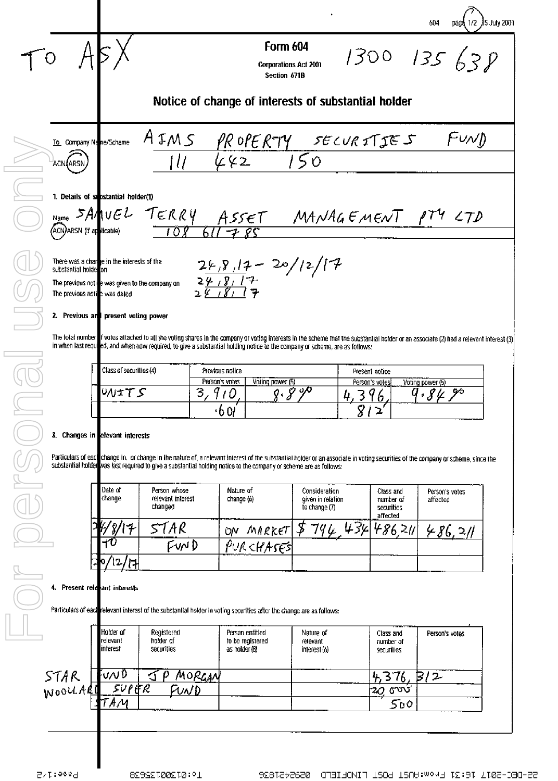The total number rotes attached to all the voting shares in the company or voting interests in the scheme that the substantial holder or an associate (2) had a relevant interest (3) in when last required, and when now required, to give a substantial holding notice to the company or scheme, are as follows:

|              | <b>THE REPORT OF A REPORT OF A 4</b><br>Class of securities (4) | Previous notice |                           | Present notice  |                                                                                    |
|--------------|-----------------------------------------------------------------|-----------------|---------------------------|-----------------|------------------------------------------------------------------------------------|
| <b>STATE</b> |                                                                 | Person's votes  | Voting power (5)          | Person's votes! | <b>The Second Contract Contract Contract</b><br><u><b>Hes</b></u> Voting power (5) |
|              |                                                                 | -               | -270<br><b>CONTRACTOR</b> |                 | တ                                                                                  |
|              |                                                                 | v.              |                           |                 | -------                                                                            |

## 3. Changes in efevant interests

Particulars of each change in, or change in the nature of, a relevant interest of the substantial holder or an associate in voting securities of the company or scheme, since the<br>substantial holder was last required to give

|       | Date of<br>change        | Person whose<br>relevant interest<br>changed | Nature of<br>change (6)<br><b>THE REPORT OF</b> | Consideration<br>given in relation<br>to change (7) | Class and<br>number of<br>securities<br>affected | Person's votes<br>affected |  |  |
|-------|--------------------------|----------------------------------------------|-------------------------------------------------|-----------------------------------------------------|--------------------------------------------------|----------------------------|--|--|
| l est | -1                       | 57 A R                                       | MAREET<br>ÜΝ                                    | $~^{7}q$ ( $\mu$                                    | $\mu$ or                                         |                            |  |  |
|       | $+1$                     | ™D                                           | PURCHASES                                       |                                                     |                                                  |                            |  |  |
|       | $\mathbf{2}$<br>⊣<br>- Р |                                              |                                                 |                                                     |                                                  |                            |  |  |

## 4. Present relevant interests

Particulars of each relevant interest of the substantial holder in voting securities after the change are as follows:

|      | Holder of<br>Irelevant<br>interest | Registered<br>holder of<br>securities | Person entitled<br>to be registered<br>as holder (8) | Nature of<br>relevant<br>interest (6) | <b>THE R. T. T. T. T.</b><br>Class and<br>number of<br>securities | Person's votes |
|------|------------------------------------|---------------------------------------|------------------------------------------------------|---------------------------------------|-------------------------------------------------------------------|----------------|
| STAR | ั∪∧∪10<br>SUPER                    | MORGAN                                |                                                      |                                       |                                                                   |                |
|      | АМ                                 | FUND<br><b>TENTO TELEVISION</b>       |                                                      |                                       | تەت<br>70<br>500                                                  |                |